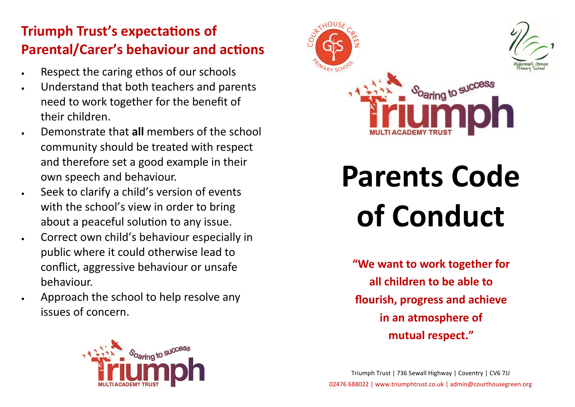# **Triumph Trust's expectations of Parental/Carer's behaviour and actions**

- Respect the caring ethos of our schools
- Understand that both teachers and parents need to work together for the benefit of their children.
- Demonstrate that **all** members of the school community should be treated with respect and therefore set a good example in their own speech and behaviour.
- Seek to clarify a child's version of events with the school's view in order to bring about a peaceful solution to any issue.
- Correct own child's behaviour especially in public where it could otherwise lead to conflict, aggressive behaviour or unsafe behaviour.
- Approach the school to help resolve any issues of concern.





# **Parents Code of Conduct**

**"We want to work together for all children to be able to flourish, progress and achieve in an atmosphere of mutual respect."**